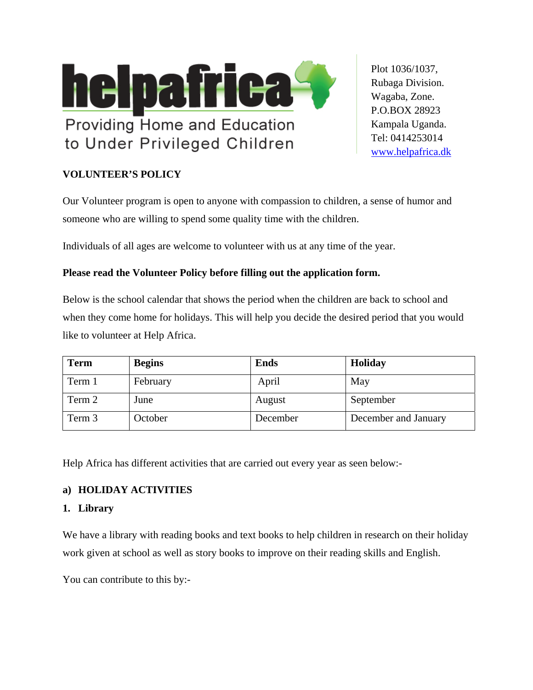

Plot 1036/1037, Rubaga Division. Wagaba, Zone. P.O.BOX 28923 Kampala Uganda. Tel: 0414253014 [www.helpafrica.](http://www.helpafrica/)dk

# **VOLUNTEER'S POLICY**

Our Volunteer program is open to anyone with compassion to children, a sense of humor and someone who are willing to spend some quality time with the children.

Individuals of all ages are welcome to volunteer with us at any time of the year.

# **Please read the Volunteer Policy before filling out the application form.**

Below is the school calendar that shows the period when the children are back to school and when they come home for holidays. This will help you decide the desired period that you would like to volunteer at Help Africa.

| <b>Term</b> | <b>Begins</b> | <b>Ends</b> | Holiday              |
|-------------|---------------|-------------|----------------------|
| Term 1      | February      | April       | May                  |
| Term 2      | June          | August      | September            |
| Term 3      | October       | December    | December and January |

Help Africa has different activities that are carried out every year as seen below:-

### **a) HOLIDAY ACTIVITIES**

### **1. Library**

We have a library with reading books and text books to help children in research on their holiday work given at school as well as story books to improve on their reading skills and English.

You can contribute to this by:-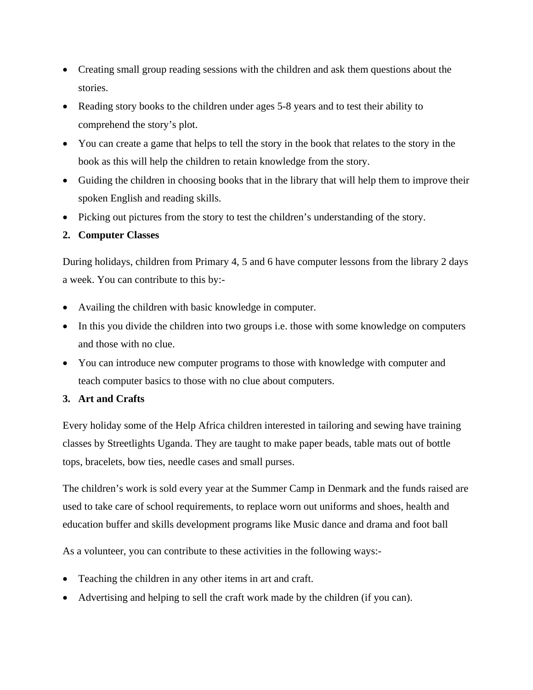- Creating small group reading sessions with the children and ask them questions about the stories.
- Reading story books to the children under ages 5-8 years and to test their ability to comprehend the story's plot.
- You can create a game that helps to tell the story in the book that relates to the story in the book as this will help the children to retain knowledge from the story.
- Guiding the children in choosing books that in the library that will help them to improve their spoken English and reading skills.
- Picking out pictures from the story to test the children's understanding of the story.

### **2. Computer Classes**

During holidays, children from Primary 4, 5 and 6 have computer lessons from the library 2 days a week. You can contribute to this by:-

- Availing the children with basic knowledge in computer.
- In this you divide the children into two groups i.e. those with some knowledge on computers and those with no clue.
- You can introduce new computer programs to those with knowledge with computer and teach computer basics to those with no clue about computers.

### **3. Art and Crafts**

Every holiday some of the Help Africa children interested in tailoring and sewing have training classes by Streetlights Uganda. They are taught to make paper beads, table mats out of bottle tops, bracelets, bow ties, needle cases and small purses.

The children's work is sold every year at the Summer Camp in Denmark and the funds raised are used to take care of school requirements, to replace worn out uniforms and shoes, health and education buffer and skills development programs like Music dance and drama and foot ball

As a volunteer, you can contribute to these activities in the following ways:-

- Teaching the children in any other items in art and craft.
- Advertising and helping to sell the craft work made by the children (if you can).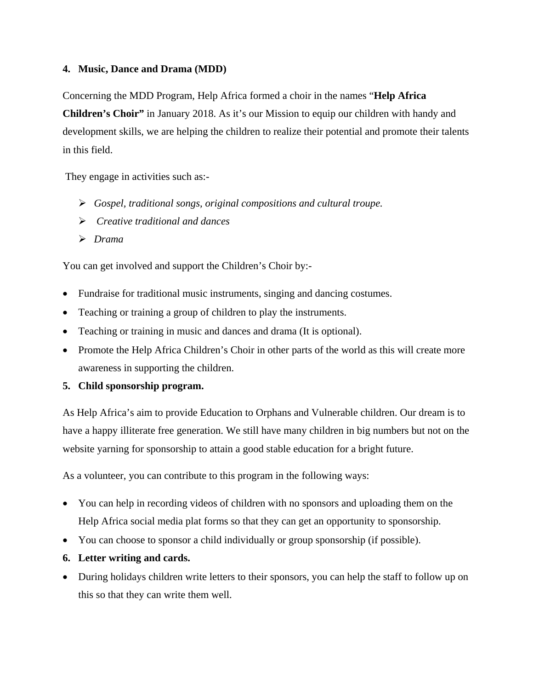### **4. Music, Dance and Drama (MDD)**

Concerning the MDD Program, Help Africa formed a choir in the names "**Help Africa Children's Choir"** in January 2018. As it's our Mission to equip our children with handy and development skills, we are helping the children to realize their potential and promote their talents in this field.

They engage in activities such as:-

- ¾ *Gospel, traditional songs, original compositions and cultural troupe.*
- ¾ *Creative traditional and dances*
- ¾ *Drama*

You can get involved and support the Children's Choir by:-

- Fundraise for traditional music instruments, singing and dancing costumes.
- Teaching or training a group of children to play the instruments.
- Teaching or training in music and dances and drama (It is optional).
- Promote the Help Africa Children's Choir in other parts of the world as this will create more awareness in supporting the children.

### **5. Child sponsorship program.**

As Help Africa's aim to provide Education to Orphans and Vulnerable children. Our dream is to have a happy illiterate free generation. We still have many children in big numbers but not on the website yarning for sponsorship to attain a good stable education for a bright future.

As a volunteer, you can contribute to this program in the following ways:

- You can help in recording videos of children with no sponsors and uploading them on the Help Africa social media plat forms so that they can get an opportunity to sponsorship.
- You can choose to sponsor a child individually or group sponsorship (if possible).
- **6. Letter writing and cards.**
- During holidays children write letters to their sponsors, you can help the staff to follow up on this so that they can write them well.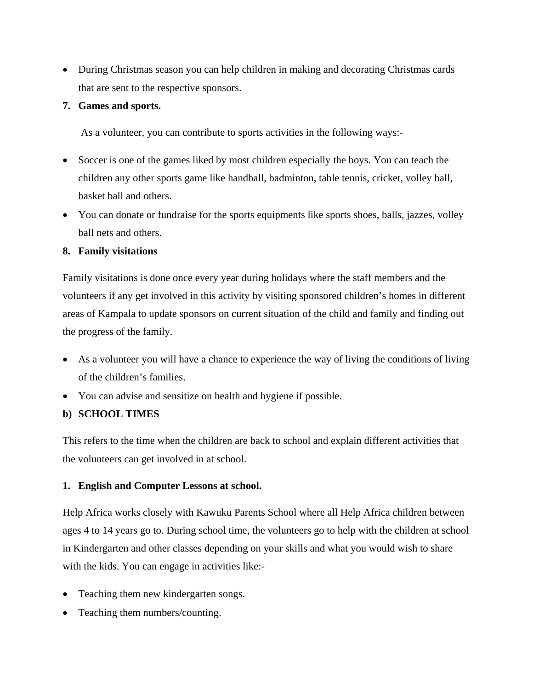• During Christmas season you can help children in making and decorating Christmas cards that are sent to the respective sponsors.

### **7. Games and sports.**

As a volunteer, you can contribute to sports activities in the following ways:-

- Soccer is one of the games liked by most children especially the boys. You can teach the children any other sports game like handball, badminton, table tennis, cricket, volley ball, basket ball and others.
- You can donate or fundraise for the sports equipments like sports shoes, balls, jazzes, volley ball nets and others.

### **8. Family visitations**

Family visitations is done once every year during holidays where the staff members and the volunteers if any get involved in this activity by visiting sponsored children's homes in different areas of Kampala to update sponsors on current situation of the child and family and finding out the progress of the family.

- As a volunteer you will have a chance to experience the way of living the conditions of living of the children's families.
- You can advise and sensitize on health and hygiene if possible.

### **b) SCHOOL TIMES**

This refers to the time when the children are back to school and explain different activities that the volunteers can get involved in at school.

### **1. English and Computer Lessons at school.**

Help Africa works closely with Kawuku Parents School where all Help Africa children between ages 4 to 14 years go to. During school time, the volunteers go to help with the children at school in Kindergarten and other classes depending on your skills and what you would wish to share with the kids. You can engage in activities like:-

- Teaching them new kindergarten songs.
- Teaching them numbers/counting.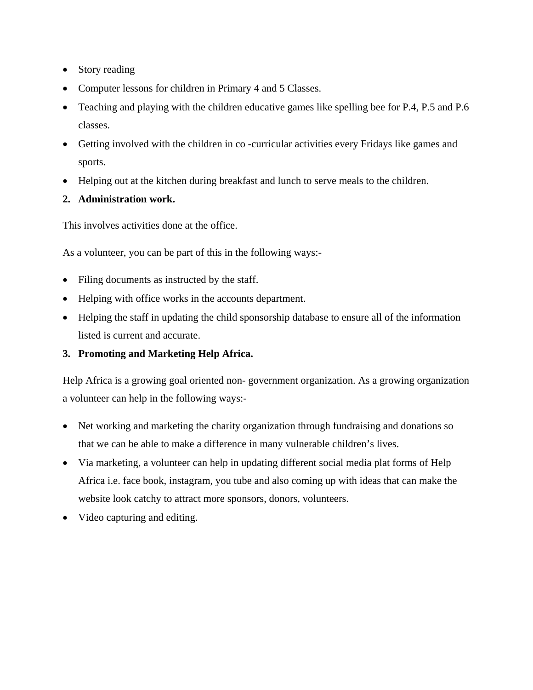- Story reading
- Computer lessons for children in Primary 4 and 5 Classes.
- Teaching and playing with the children educative games like spelling bee for P.4, P.5 and P.6 classes.
- Getting involved with the children in co-curricular activities every Fridays like games and sports.
- Helping out at the kitchen during breakfast and lunch to serve meals to the children.
- **2. Administration work.**

This involves activities done at the office.

As a volunteer, you can be part of this in the following ways:-

- Filing documents as instructed by the staff.
- Helping with office works in the accounts department.
- Helping the staff in updating the child sponsorship database to ensure all of the information listed is current and accurate.

### **3. Promoting and Marketing Help Africa.**

Help Africa is a growing goal oriented non- government organization. As a growing organization a volunteer can help in the following ways:-

- Net working and marketing the charity organization through fundraising and donations so that we can be able to make a difference in many vulnerable children's lives.
- Via marketing, a volunteer can help in updating different social media plat forms of Help Africa i.e. face book, instagram, you tube and also coming up with ideas that can make the website look catchy to attract more sponsors, donors, volunteers.
- Video capturing and editing.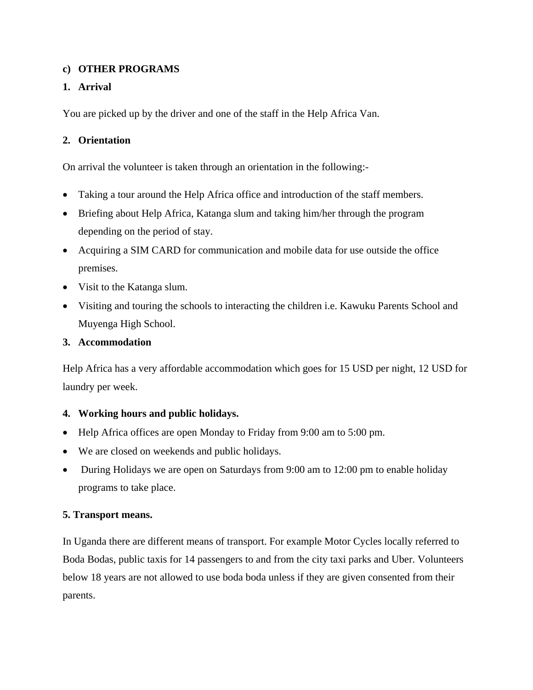### **c) OTHER PROGRAMS**

### **1. Arrival**

You are picked up by the driver and one of the staff in the Help Africa Van.

#### **2. Orientation**

On arrival the volunteer is taken through an orientation in the following:-

- Taking a tour around the Help Africa office and introduction of the staff members.
- Briefing about Help Africa, Katanga slum and taking him/her through the program depending on the period of stay.
- Acquiring a SIM CARD for communication and mobile data for use outside the office premises.
- Visit to the Katanga slum.
- Visiting and touring the schools to interacting the children i.e. Kawuku Parents School and Muyenga High School.

#### **3. Accommodation**

Help Africa has a very affordable accommodation which goes for 15 USD per night, 12 USD for laundry per week.

#### **4. Working hours and public holidays.**

- Help Africa offices are open Monday to Friday from 9:00 am to 5:00 pm.
- We are closed on weekends and public holidays.
- During Holidays we are open on Saturdays from 9:00 am to 12:00 pm to enable holiday programs to take place.

#### **5. Transport means.**

In Uganda there are different means of transport. For example Motor Cycles locally referred to Boda Bodas, public taxis for 14 passengers to and from the city taxi parks and Uber. Volunteers below 18 years are not allowed to use boda boda unless if they are given consented from their parents.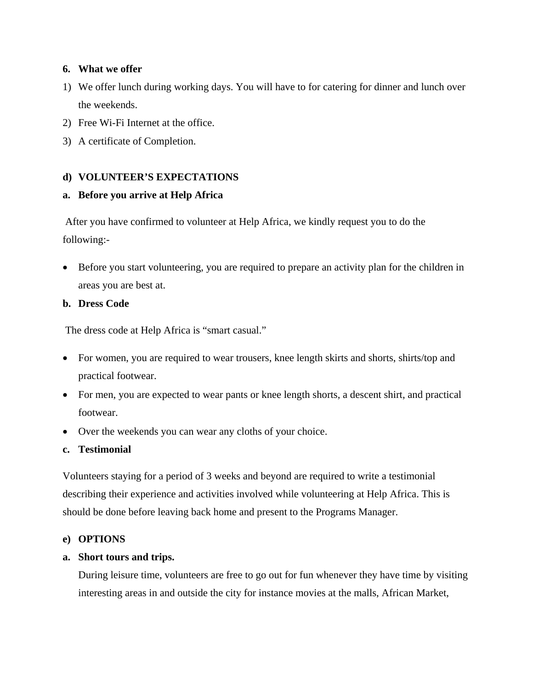#### **6. What we offer**

- 1) We offer lunch during working days. You will have to for catering for dinner and lunch over the weekends.
- 2) Free Wi-Fi Internet at the office.
- 3) A certificate of Completion.

### **d) VOLUNTEER'S EXPECTATIONS**

### **a. Before you arrive at Help Africa**

 After you have confirmed to volunteer at Help Africa, we kindly request you to do the following:-

• Before you start volunteering, you are required to prepare an activity plan for the children in areas you are best at.

### **b. Dress Code**

The dress code at Help Africa is "smart casual."

- For women, you are required to wear trousers, knee length skirts and shorts, shirts/top and practical footwear.
- For men, you are expected to wear pants or knee length shorts, a descent shirt, and practical footwear.
- Over the weekends you can wear any cloths of your choice.

### **c. Testimonial**

Volunteers staying for a period of 3 weeks and beyond are required to write a testimonial describing their experience and activities involved while volunteering at Help Africa. This is should be done before leaving back home and present to the Programs Manager.

#### **e) OPTIONS**

#### **a. Short tours and trips.**

During leisure time, volunteers are free to go out for fun whenever they have time by visiting interesting areas in and outside the city for instance movies at the malls, African Market,